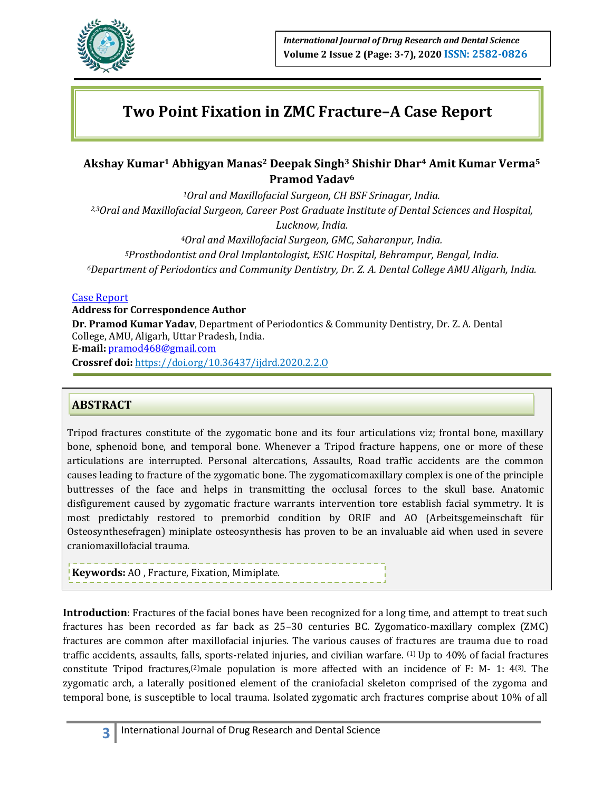

# **Two Point Fixation in ZMC Fracture–A Case Report**

## **Akshay Kumar<sup>1</sup> Abhigyan Manas<sup>2</sup> Deepak Singh<sup>3</sup> Shishir Dhar<sup>4</sup> Amit Kumar Verma<sup>5</sup> Pramod Yadav<sup>6</sup>**

*Oral and Maxillofacial Surgeon, CH BSF Srinagar, India. 2,3Oral and Maxillofacial Surgeon, Career Post Graduate Institute of Dental Sciences and Hospital, Lucknow, India. Oral and Maxillofacial Surgeon, GMC, Saharanpur, India. Prosthodontist and Oral Implantologist, ESIC Hospital, Behrampur, Bengal, India. Department of Periodontics and Community Dentistry, Dr. Z. A. Dental College AMU Aligarh, India.*

### Case Report

#### **Address for Correspondence Author**

**Dr. Pramod Kumar Yadav**, Department of Periodontics & Community Dentistry, Dr. Z. A. Dental College, AMU, Aligarh, Uttar Pradesh, India. **E‑mail:** [pramod468@gmail.com](mailto:pramod468@gmail.com) **Crossref doi:** https://doi.org/10.36437/ijdrd.2020.2.2.O

## **ABSTRACT**

Tripod fractures constitute of the zygomatic bone and its four articulations viz; frontal bone, maxillary bone, sphenoid bone, and temporal bone. Whenever a Tripod fracture happens, one or more of these articulations are interrupted. Personal altercations, Assaults, Road traffic accidents are the common causes leading to fracture of the zygomatic bone. The zygomaticomaxillary complex is one of the principle buttresses of the face and helps in transmitting the occlusal forces to the skull base. Anatomic disfigurement caused by zygomatic fracture warrants intervention tore establish facial symmetry. It is most predictably restored to premorbid condition by ORIF and AO (Arbeitsgemeinschaft für Osteosynthesefragen) miniplate osteosynthesis has proven to be an invaluable aid when used in severe craniomaxillofacial trauma.

**Keywords:** AO , Fracture, Fixation, Mimiplate.

**Introduction**: Fractures of the facial bones have been recognized for a long time, and attempt to treat such fractures has been recorded as far back as 25–30 centuries BC. Zygomatico-maxillary complex (ZMC) fractures are common after maxillofacial injuries. The various causes of fractures are trauma due to road traffic accidents, assaults, falls, sports-related injuries, and civilian warfare. <sup>(1)</sup> Up to 40% of facial fractures constitute Tripod fractures,<sup>(2)</sup>male population is more affected with an incidence of F: M- 1:  $4^{(3)}$ . The zygomatic arch, a laterally positioned element of the craniofacial skeleton comprised of the zygoma and temporal bone, is susceptible to local trauma. Isolated zygomatic arch fractures comprise about 10% of all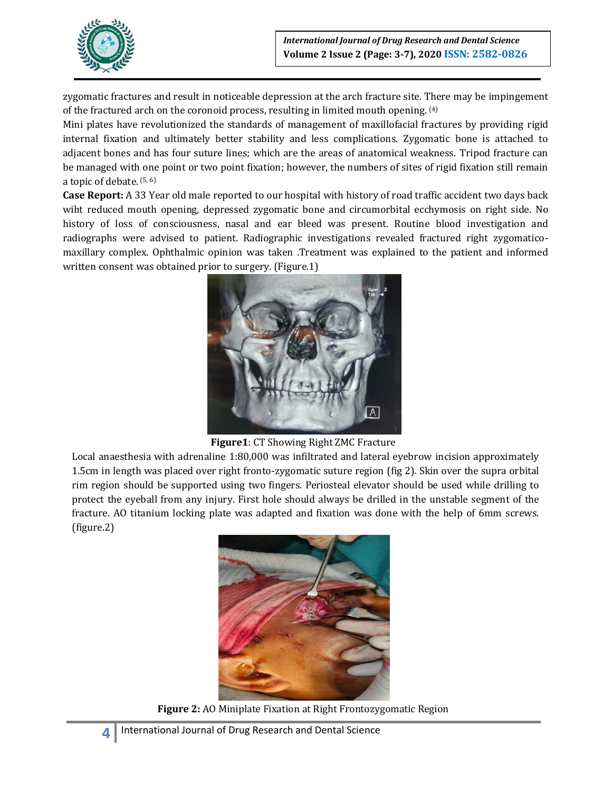

zygomatic fractures and result in noticeable depression at the arch fracture site. There may be impingement of the fractured arch on the coronoid process, resulting in limited mouth opening. (4)

Mini plates have revolutionized the standards of management of maxillofacial fractures by providing rigid internal fixation and ultimately better stability and less complications. Zygomatic bone is attached to adjacent bones and has four suture lines; which are the areas of anatomical weakness. Tripod fracture can be managed with one point or two point fixation; however, the numbers of sites of rigid fixation still remain a topic of debate. (5, 6)

**Case Report:** A 33 Year old male reported to our hospital with history of road traffic accident two days back wiht reduced mouth opening, depressed zygomatic bone and circumorbital ecchymosis on right side. No history of loss of consciousness, nasal and ear bleed was present. Routine blood investigation and radiographs were advised to patient. Radiographic investigations revealed fractured right zygomaticomaxillary complex. Ophthalmic opinion was taken .Treatment was explained to the patient and informed written consent was obtained prior to surgery. (Figure.1)



**Figure1**: CT Showing Right ZMC Fracture

Local anaesthesia with adrenaline 1:80,000 was infiltrated and lateral eyebrow incision approximately 1.5cm in length was placed over right fronto-zygomatic suture region (fig 2). Skin over the supra orbital rim region should be supported using two fingers. Periosteal elevator should be used while drilling to protect the eyeball from any injury. First hole should always be drilled in the unstable segment of the fracture. AO titanium locking plate was adapted and fixation was done with the help of 6mm screws. (figure.2)



**Figure 2:** AO Miniplate Fixation at Right Frontozygomatic Region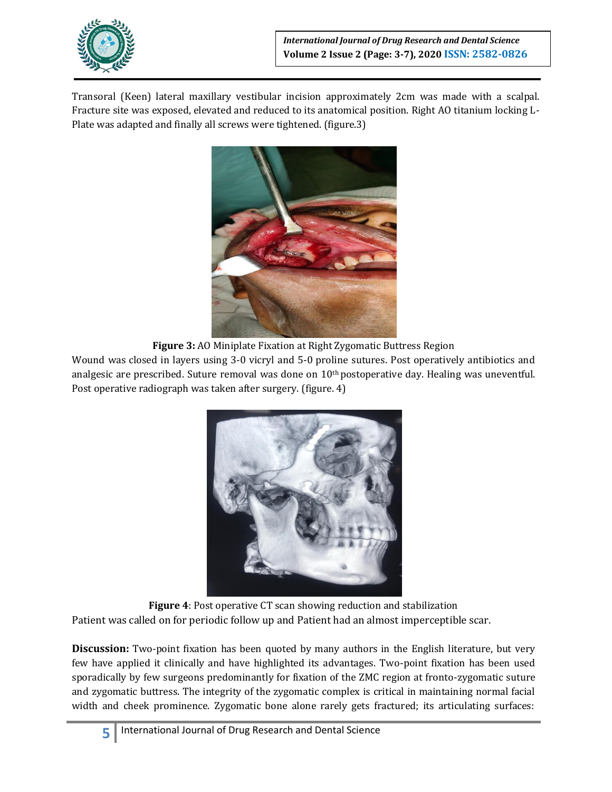

Transoral (Keen) lateral maxillary vestibular incision approximately 2cm was made with a scalpal. Fracture site was exposed, elevated and reduced to its anatomical position. Right AO titanium locking L-Plate was adapted and finally all screws were tightened. (figure.3)



**Figure 3:** AO Miniplate Fixation at Right Zygomatic Buttress Region

Wound was closed in layers using 3-0 vicryl and 5-0 proline sutures. Post operatively antibiotics and analgesic are prescribed. Suture removal was done on 10<sup>th</sup> postoperative day. Healing was uneventful. Post operative radiograph was taken after surgery. (figure. 4)



**Figure 4**: Post operative CT scan showing reduction and stabilization Patient was called on for periodic follow up and Patient had an almost imperceptible scar.

**Discussion:** Two-point fixation has been quoted by many authors in the English literature, but very few have applied it clinically and have highlighted its advantages. Two-point fixation has been used sporadically by few surgeons predominantly for fixation of the ZMC region at fronto-zygomatic suture and zygomatic buttress. The integrity of the zygomatic complex is critical in maintaining normal facial width and cheek prominence. Zygomatic bone alone rarely gets fractured; its articulating surfaces: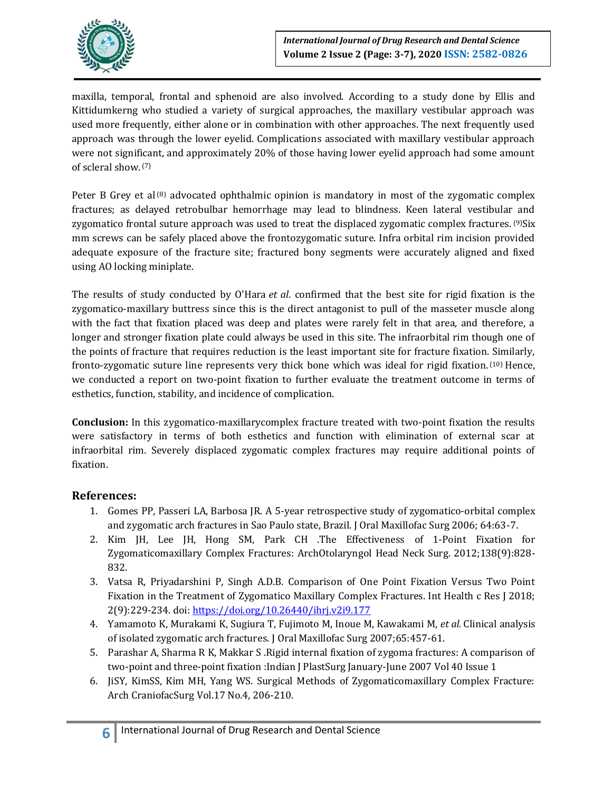

maxilla, temporal, frontal and sphenoid are also involved. According to a study done by Ellis and Kittidumkerng who studied a variety of surgical approaches, the maxillary vestibular approach was used more frequently, either alone or in combination with other approaches. The next frequently used approach was through the lower eyelid. Complications associated with maxillary vestibular approach were not significant, and approximately 20% of those having lower eyelid approach had some amount of scleral show. (7)

Peter B Grey et al  $^{(8)}$  advocated ophthalmic opinion is mandatory in most of the zygomatic complex fractures; as delayed retrobulbar hemorrhage may lead to blindness. Keen lateral vestibular and zygomatico frontal suture approach was used to treat the displaced zygomatic complex fractures. <sup>(9)</sup>Six mm screws can be safely placed above the frontozygomatic suture. Infra orbital rim incision provided adequate exposure of the fracture site; fractured bony segments were accurately aligned and fixed using AO locking miniplate.

The results of study conducted by O'Hara *et al*. confirmed that the best site for rigid fixation is the zygomatico-maxillary buttress since this is the direct antagonist to pull of the masseter muscle along with the fact that fixation placed was deep and plates were rarely felt in that area, and therefore, a longer and stronger fixation plate could always be used in this site. The infraorbital rim though one of the points of fracture that requires reduction is the least important site for fracture fixation. Similarly, fronto-zygomatic suture line represents very thick bone which was ideal for rigid fixation. (10) Hence, we conducted a report on two-point fixation to further evaluate the treatment outcome in terms of esthetics, function, stability, and incidence of complication.

**Conclusion:** In this zygomatico-maxillarycomplex fracture treated with two-point fixation the results were satisfactory in terms of both esthetics and function with elimination of external scar at infraorbital rim. Severely displaced zygomatic complex fractures may require additional points of fixation.

## **References:**

- 1. Gomes PP, Passeri LA, Barbosa JR. A 5-year retrospective study of zygomatico-orbital complex and zygomatic arch fractures in Sao Paulo state, Brazil. J Oral Maxillofac Surg 2006; 64:63-7.
- 2. Kim JH, Lee JH, Hong SM, Park CH .The Effectiveness of 1-Point Fixation for Zygomaticomaxillary Complex Fractures: ArchOtolaryngol Head Neck Surg. 2012;138(9):828- 832.
- 3. Vatsa R, Priyadarshini P, Singh A.D.B. Comparison of One Point Fixation Versus Two Point Fixation in the Treatment of Zygomatico Maxillary Complex Fractures. Int Health c Res J 2018; 2(9):229-234. doi[: https://doi.org/10.26440/ihrj.v2i9.177](https://doi.org/10.26440/ihrj.v2i9.177)
- 4. Yamamoto K, Murakami K, Sugiura T, Fujimoto M, Inoue M, Kawakami M, *et al.* Clinical analysis of isolated zygomatic arch fractures. J Oral Maxillofac Surg 2007;65:457-61.
- 5. Parashar A, Sharma R K, Makkar S .Rigid internal fixation of zygoma fractures: A comparison of two-point and three-point fixation :Indian J PlastSurg January-June 2007 Vol 40 Issue 1
- 6. JiSY, KimSS, Kim MH, Yang WS. Surgical Methods of Zygomaticomaxillary Complex Fracture: Arch CraniofacSurg Vol.17 No.4, 206-210.